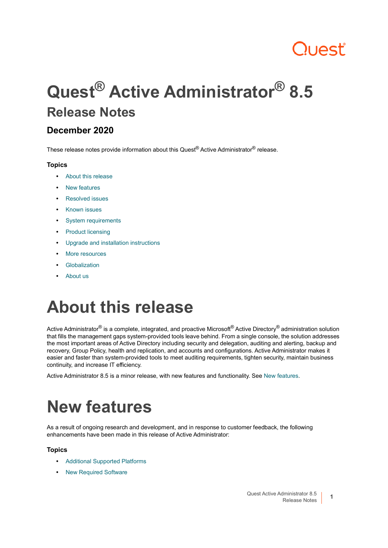# Quest

# **Quest® Active Administrator® 8.5 Release Notes**

### **December 2020**

These release notes provide information about this Quest<sup>®</sup> Active Administrator<sup>®</sup> release.

### **Topics**

- **•** [About this release](#page-0-0)
- **•** [New features](#page-0-1)
- **•** [Resolved issues](#page-6-0)
- **•** [Known issues](#page-6-1)
- **•** [System requirements](#page-7-0)
- **•** [Product licensing](#page-16-0)
- **•** [Upgrade and installation instructions](#page-16-1)
- **•** [More resources](#page-20-0)
- **•** [Globalization](#page-21-0)
- **•** [About us](#page-21-1)

# <span id="page-0-0"></span>**About this release**

Active Administrator<sup>®</sup> is a complete, integrated, and proactive Microsoft<sup>®</sup> Active Directory<sup>®</sup> administration solution that fills the management gaps system-provided tools leave behind. From a single console, the solution addresses the most important areas of Active Directory including security and delegation, auditing and alerting, backup and recovery, Group Policy, health and replication, and accounts and configurations. Active Administrator makes it easier and faster than system-provided tools to meet auditing requirements, tighten security, maintain business continuity, and increase IT efficiency.

Active Administrator 8.5 is a minor release, with new features and functionality. See [New features.](#page-0-1)

# <span id="page-0-1"></span>**New features**

As a result of ongoing research and development, and in response to customer feedback, the following enhancements have been made in this release of Active Administrator:

### **Topics**

- **•** [Additional Supported Platforms](#page-2-0)
- **•** [New Required Software](#page-2-1)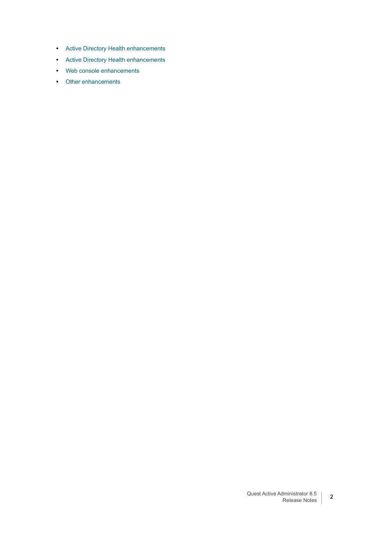- **•** [Active Directory Health enhancements](#page-2-2)
- **•** [Active Directory Health enhancements](#page-2-2)
- **•** [Web console enhancements](#page-2-3)
- **•** [Other enhancements](#page-3-0)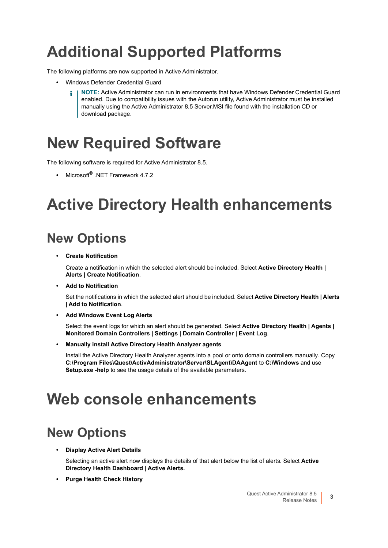## <span id="page-2-0"></span>**Additional Supported Platforms**

The following platforms are now supported in Active Administrator.

- **•** Windows Defender Credential Guard
	- **NOTE:** Active Administrator can run in environments that have Windows Defender Credential Guard i l enabled. Due to compatibility issues with the Autorun utility, Active Administrator must be installed manually using the Active Administrator 8.5 Server.MSI file found with the installation CD or download package.

## <span id="page-2-1"></span>**New Required Software**

The following software is required for Active Administrator 8.5.

**•** Microsoft® .NET Framework 4.7.2

## <span id="page-2-2"></span>**Active Directory Health enhancements**

## **New Options**

**• Create Notification**

Create a notification in which the selected alert should be included. Select **Active Directory Health | Alerts | Create Notification**.

**• Add to Notification**

Set the notifications in which the selected alert should be included. Select **Active Directory Health | Alerts | Add to Notification**.

**• Add Windows Event Log Alerts**

Select the event logs for which an alert should be generated. Select **Active Directory Health | Agents | Monitored Domain Controllers | Settings | Domain Controller | Event Log**.

**• Manually install Active Directory Health Analyzer agents**

Install the Active Directory Health Analyzer agents into a pool or onto domain controllers manually. Copy **C:\Program Files\Quest\ActivAdministrator\Server\SLAgent\DAAgent** to **C:\Windows** and use **Setup.exe -help** to see the usage details of the available parameters.

## <span id="page-2-3"></span>**Web console enhancements**

## **New Options**

**• Display Active Alert Details**

Selecting an active alert now displays the details of that alert below the list of alerts. Select **Active Directory Health Dashboard | Active Alerts.**

**• Purge Health Check History**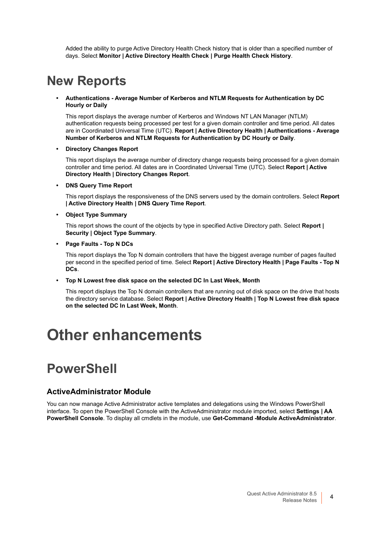Added the ability to purge Active Directory Health Check history that is older than a specified number of days. Select **Monitor | Active Directory Health Check | Purge Health Check History**.

### **New Reports**

#### **• Authentications - Average Number of Kerberos and NTLM Requests for Authentication by DC Hourly or Daily**

This report displays the average number of Kerberos and Windows NT LAN Manager (NTLM) authentication requests being processed per test for a given domain controller and time period. All dates are in Coordinated Universal Time (UTC). **Report | Active Directory Health | Authentications - Average Number of Kerberos and NTLM Requests for Authentication by DC Hourly or Daily**.

#### **• Directory Changes Report**

This report displays the average number of directory change requests being processed for a given domain controller and time period. All dates are in Coordinated Universal Time (UTC). Select **Report | Active Directory Health | Directory Changes Report**.

#### **• DNS Query Time Report**

This report displays the responsiveness of the DNS servers used by the domain controllers. Select **Report | Active Directory Health | DNS Query Time Report**.

### **• Object Type Summary**

This report shows the count of the objects by type in specified Active Directory path. Select **Report | Security | Object Type Summary**.

#### **• Page Faults - Top N DCs**

This report displays the Top N domain controllers that have the biggest average number of pages faulted per second in the specified period of time. Select **Report | Active Directory Health | Page Faults - Top N DCs**.

#### **• Top N Lowest free disk space on the selected DC In Last Week, Month**

This report displays the Top N domain controllers that are running out of disk space on the drive that hosts the directory service database. Select **Report | Active Directory Health | Top N Lowest free disk space on the selected DC In Last Week, Month**.

## <span id="page-3-0"></span>**Other enhancements**

### **PowerShell**

### **ActiveAdministrator Module**

You can now manage Active Administrator active templates and delegations using the Windows PowerShell interface. To open the PowerShell Console with the ActiveAdministrator module imported, select **Settings | AA PowerShell Console**. To display all cmdlets in the module, use **Get-Command -Module ActiveAdministrator**.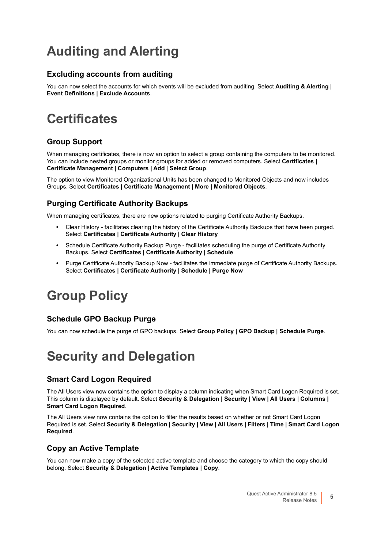## **Auditing and Alerting**

### **Excluding accounts from auditing**

You can now select the accounts for which events will be excluded from auditing. Select **Auditing & Alerting | Event Definitions | Exclude Accounts**.

### **Certificates**

### **Group Support**

When managing certificates, there is now an option to select a group containing the computers to be monitored. You can include nested groups or monitor groups for added or removed computers. Select **Certificates | Certificate Management | Computers | Add | Select Group**.

The option to view Monitored Organizational Units has been changed to Monitored Objects and now includes Groups. Select **Certificates | Certificate Management | More | Monitored Objects**.

### **Purging Certificate Authority Backups**

When managing certificates, there are new options related to purging Certificate Authority Backups.

- **•** Clear History facilitates clearing the history of the Certificate Authority Backups that have been purged. Select **Certificates | Certificate Authority | Clear History**
- **•** Schedule Certificate Authority Backup Purge facilitates scheduling the purge of Certificate Authority Backups. Select **Certificates | Certificate Authority | Schedule**
- **•** Purge Certificate Authority Backup Now facilitates the immediate purge of Certificate Authority Backups. Select **Certificates | Certificate Authority | Schedule | Purge Now**

### **Group Policy**

### **Schedule GPO Backup Purge**

You can now schedule the purge of GPO backups. Select **Group Policy | GPO Backup | Schedule Purge**.

### **Security and Delegation**

### **Smart Card Logon Required**

The All Users view now contains the option to display a column indicating when Smart Card Logon Required is set. This column is displayed by default. Select **Security & Delegation | Security | View | All Users | Columns | Smart Card Logon Required**.

The All Users view now contains the option to filter the results based on whether or not Smart Card Logon Required is set. Select **Security & Delegation | Security | View | All Users | Filters | Time | Smart Card Logon Required**.

### **Copy an Active Template**

You can now make a copy of the selected active template and choose the category to which the copy should belong. Select **Security & Delegation | Active Templates | Copy**.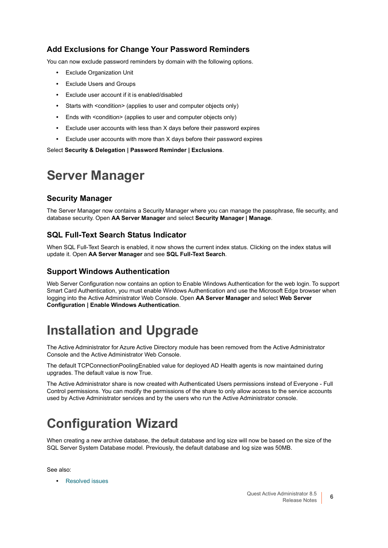### **Add Exclusions for Change Your Password Reminders**

You can now exclude password reminders by domain with the following options.

- **•** Exclude Organization Unit
- **•** Exclude Users and Groups
- **•** Exclude user account if it is enabled/disabled
- **•** Starts with <condition> (applies to user and computer objects only)
- **•** Ends with <condition> (applies to user and computer objects only)
- **•** Exclude user accounts with less than X days before their password expires
- **•** Exclude user accounts with more than X days before their password expires

Select **Security & Delegation | Password Reminder | Exclusions**.

### **Server Manager**

### **Security Manager**

The Server Manager now contains a Security Manager where you can manage the passphrase, file security, and database security. Open **AA Server Manager** and select **Security Manager | Manage**.

### **SQL Full-Text Search Status Indicator**

When SQL Full-Text Search is enabled, it now shows the current index status. Clicking on the index status will update it. Open **AA Server Manager** and see **SQL Full-Text Search**.

### **Support Windows Authentication**

Web Server Configuration now contains an option to Enable Windows Authentication for the web login. To support Smart Card Authentication, you must enable Windows Authentication and use the Microsoft Edge browser when logging into the Active Administrator Web Console. Open **AA Server Manager** and select **Web Server Configuration | Enable Windows Authentication**.

### **Installation and Upgrade**

The Active Administrator for Azure Active Directory module has been removed from the Active Administrator Console and the Active Administrator Web Console.

The default TCPConnectionPoolingEnabled value for deployed AD Health agents is now maintained during upgrades. The default value is now True.

The Active Administrator share is now created with Authenticated Users permissions instead of Everyone - Full Control permissions. You can modify the permissions of the share to only allow access to the service accounts used by Active Administrator services and by the users who run the Active Administrator console.

## **Configuration Wizard**

When creating a new archive database, the default database and log size will now be based on the size of the SQL Server System Database model. Previously, the default database and log size was 50MB.

See also:

**•** [Resolved issues](#page-6-0)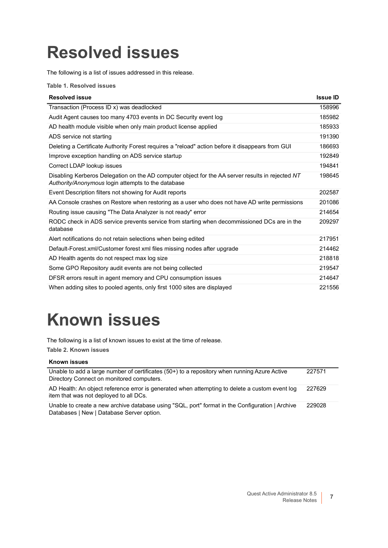# <span id="page-6-0"></span>**Resolved issues**

The following is a list of issues addressed in this release.

**Table 1. Resolved issues**

| <b>Resolved issue</b>                                                                                                                                  | <b>Issue ID</b> |
|--------------------------------------------------------------------------------------------------------------------------------------------------------|-----------------|
| Transaction (Process ID x) was deadlocked                                                                                                              | 158996          |
| Audit Agent causes too many 4703 events in DC Security event log                                                                                       | 185982          |
| AD health module visible when only main product license applied                                                                                        | 185933          |
| ADS service not starting                                                                                                                               | 191390          |
| Deleting a Certificate Authority Forest requires a "reload" action before it disappears from GUI                                                       | 186693          |
| Improve exception handling on ADS service startup                                                                                                      | 192849          |
| Correct LDAP lookup issues                                                                                                                             | 194841          |
| Disabling Kerberos Delegation on the AD computer object for the AA server results in rejected NT<br>Authority/Anonymous login attempts to the database | 198645          |
| Event Description filters not showing for Audit reports                                                                                                | 202587          |
| AA Console crashes on Restore when restoring as a user who does not have AD write permissions                                                          | 201086          |
| Routing issue causing "The Data Analyzer is not ready" error                                                                                           | 214654          |
| RODC check in ADS service prevents service from starting when decommissioned DCs are in the<br>database                                                | 209297          |
| Alert notifications do not retain selections when being edited                                                                                         | 217951          |
| Default-Forest.xml/Customer forest xml files missing nodes after upgrade                                                                               | 214462          |
| AD Health agents do not respect max log size                                                                                                           | 218818          |
| Some GPO Repository audit events are not being collected                                                                                               | 219547          |
| DFSR errors result in agent memory and CPU consumption issues                                                                                          | 214647          |
| When adding sites to pooled agents, only first 1000 sites are displayed                                                                                | 221556          |

# <span id="page-6-1"></span>**Known issues**

The following is a list of known issues to exist at the time of release.

**Table 2. Known issues**

#### **Known issues**

| Unable to add a large number of certificates (50+) to a repository when running Azure Active<br>Directory Connect on monitored computers.    | 227571 |
|----------------------------------------------------------------------------------------------------------------------------------------------|--------|
| AD Health: An object reference error is generated when attempting to delete a custom event log<br>item that was not deployed to all DCs.     | 227629 |
| Unable to create a new archive database using "SQL, port" format in the Configuration   Archive<br>Databases   New   Database Server option. | 229028 |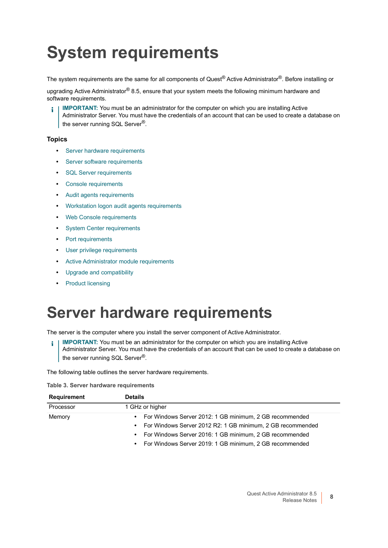# <span id="page-7-0"></span>**System requirements**

The system requirements are the same for all components of Quest® Active Administrator®. Before installing or

upgrading Active Administrator<sup>®</sup> 8.5, ensure that your system meets the following minimum hardware and software requirements.

**IMPORTANT:** You must be an administrator for the computer on which you are installing Active Administrator Server. You must have the credentials of an account that can be used to create a database on the server running SQL Server®.

### **Topics**

- **•** [Server hardware requirements](#page-7-1)
- **•** [Server software requirements](#page-8-0)
- **•** [SQL Server requirements](#page-8-1)
- **•** [Console requirements](#page-9-0)
- **•** [Audit agents requirements](#page-10-0)
- **•** [Workstation logon audit agents requirements](#page-11-0)
- **•** [Web Console requirements](#page-11-1)
- **[System Center requirements](#page-11-2)**
- **•** [Port requirements](#page-12-0)
- **•** [User privilege requirements](#page-14-0)
- **•** [Active Administrator module requirements](#page-15-0)
- **•** [Upgrade and compatibility](#page-15-1)
- **•** [Product licensing](#page-16-0)

## <span id="page-7-1"></span>**Server hardware requirements**

The server is the computer where you install the server component of Active Administrator.

**IMPORTANT:** You must be an administrator for the computer on which you are installing Active f Administrator Server. You must have the credentials of an account that can be used to create a database on the server running SQL Server<sup>®</sup>.

The following table outlines the server hardware requirements.

**Table 3. Server hardware requirements**

| <b>Requirement</b> | <b>Details</b>                                                          |  |  |  |  |
|--------------------|-------------------------------------------------------------------------|--|--|--|--|
| Processor          | 1 GHz or higher                                                         |  |  |  |  |
| Memory             | For Windows Server 2012: 1 GB minimum, 2 GB recommended<br>٠            |  |  |  |  |
|                    | For Windows Server 2012 R2: 1 GB minimum, 2 GB recommended<br>$\bullet$ |  |  |  |  |
|                    | For Windows Server 2016: 1 GB minimum, 2 GB recommended<br>$\bullet$    |  |  |  |  |
|                    | For Windows Server 2019: 1 GB minimum, 2 GB recommended<br>$\bullet$    |  |  |  |  |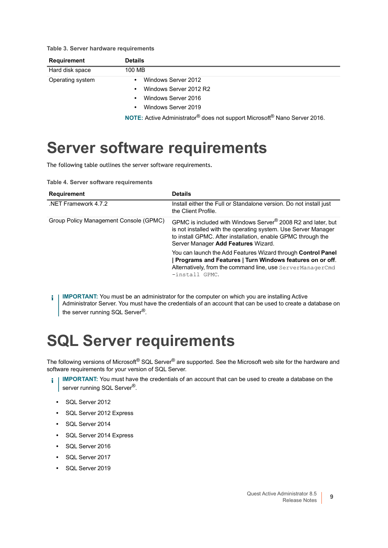**Table 3. Server hardware requirements**

| Requirement      | <b>Details</b>                                                                                           |
|------------------|----------------------------------------------------------------------------------------------------------|
| Hard disk space  | 100 MB                                                                                                   |
| Operating system | Windows Server 2012<br>٠                                                                                 |
|                  | Windows Server 2012 R2<br>$\bullet$                                                                      |
|                  | Windows Server 2016<br>$\bullet$                                                                         |
|                  | Windows Server 2019<br>$\bullet$                                                                         |
|                  | <b>NOTE:</b> Active Administrator <sup>®</sup> does not support Microsoft <sup>®</sup> Nano Server 2016. |

### <span id="page-8-0"></span>**Server software requirements**

The following table outlines the server software requirements.

**Table 4. Server software requirements**

| <b>Requirement</b>                     | <b>Details</b>                                                                                                                                                                                                                                    |
|----------------------------------------|---------------------------------------------------------------------------------------------------------------------------------------------------------------------------------------------------------------------------------------------------|
| NET Framework 4.7.2                    | Install either the Full or Standalone version. Do not install just<br>the Client Profile.                                                                                                                                                         |
| Group Policy Management Console (GPMC) | GPMC is included with Windows Server <sup>®</sup> 2008 R2 and later, but<br>is not installed with the operating system. Use Server Manager<br>to install GPMC. After installation, enable GPMC through the<br>Server Manager Add Features Wizard. |
|                                        | You can launch the Add Features Wizard through Control Panel<br>Programs and Features   Turn Windows features on or off.<br>Alternatively, from the command line, use ServerManagerCmd<br>-install GPMC.                                          |

**I IMPORTANT:** You must be an administrator for the computer on which you are installing Active ÷ Administrator Server. You must have the credentials of an account that can be used to create a database on the server running SQL Server<sup>®</sup>.

## <span id="page-8-1"></span>**SQL Server requirements**

The following versions of Microsoft® SQL Server<sup>®</sup> are supported. See the Microsoft web site for the hardware and software requirements for your version of SQL Server.

- **IMPORTANT:** You must have the credentials of an account that can be used to create a database on the ì server running SQL Server<sup>®</sup>.
	- **•** SQL Server 2012
	- **•** SQL Server 2012 Express
	- **•** SQL Server 2014
	- **•** SQL Server 2014 Express
	- **•** SQL Server 2016
	- **•** SQL Server 2017
	- **•** SQL Server 2019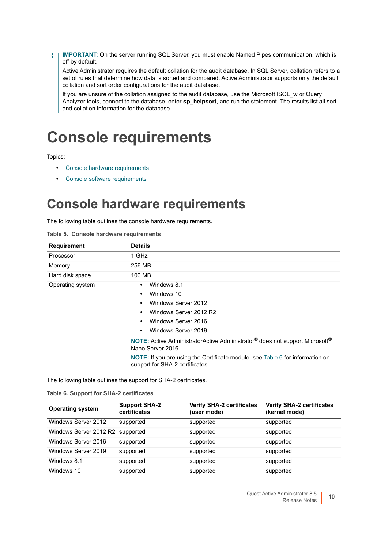**IMPORTANT:** On the server running SQL Server, you must enable Named Pipes communication, which is  $\ddot{\bullet}$ off by default.

Active Administrator requires the default collation for the audit database. In SQL Server, collation refers to a set of rules that determine how data is sorted and compared. Active Administrator supports only the default collation and sort order configurations for the audit database.

If you are unsure of the collation assigned to the audit database, use the Microsoft ISQL w or Query Analyzer tools, connect to the database, enter **sp\_helpsort**, and run the statement. The results list all sort and collation information for the database.

## <span id="page-9-0"></span>**Console requirements**

Topics:

- **•** [Console hardware requirements](#page-9-1)
- **•** [Console software requirements](#page-10-1)

**Table 5. Console hardware requirements**

### <span id="page-9-1"></span>**Console hardware requirements**

The following table outlines the console hardware requirements.

| <b>Requirement</b> | <b>Details</b>                                                                                                                                                                                                                                                                                                    |
|--------------------|-------------------------------------------------------------------------------------------------------------------------------------------------------------------------------------------------------------------------------------------------------------------------------------------------------------------|
| Processor          | 1 GHz                                                                                                                                                                                                                                                                                                             |
| Memory             | 256 MB                                                                                                                                                                                                                                                                                                            |
| Hard disk space    | 100 MB                                                                                                                                                                                                                                                                                                            |
| Operating system   | Windows 8.1<br>$\bullet$<br>Windows 10<br>$\bullet$<br>Windows Server 2012<br>٠<br>Windows Server 2012 R2<br>٠<br>Windows Server 2016<br>٠<br>Windows Server 2019<br>$\bullet$<br><b>NOTE:</b> Active AdministratorActive Administrator <sup>®</sup> does not support Microsoft <sup>®</sup><br>Nano Server 2016. |

**NOTE:** If you are using the Certificate module, see Table 6 for information on support for SHA-2 certificates.

The following table outlines the support for SHA-2 certificates.

**Table 6. Support for SHA-2 certificates**

| <b>Operating system</b>          | <b>Support SHA-2</b><br>certificates | <b>Verify SHA-2 certificates</b><br>(user mode) | <b>Verify SHA-2 certificates</b><br>(kernel mode) |
|----------------------------------|--------------------------------------|-------------------------------------------------|---------------------------------------------------|
| Windows Server 2012              | supported                            | supported                                       | supported                                         |
| Windows Server 2012 R2 supported |                                      | supported                                       | supported                                         |
| Windows Server 2016              | supported                            | supported                                       | supported                                         |
| Windows Server 2019              | supported                            | supported                                       | supported                                         |
| Windows 8.1                      | supported                            | supported                                       | supported                                         |
| Windows 10                       | supported                            | supported                                       | supported                                         |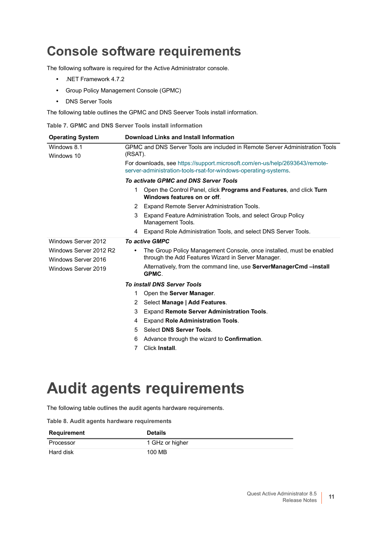### <span id="page-10-1"></span>**Console software requirements**

The following software is required for the Active Administrator console.

- **•** .NET Framework 4.7.2
- **•** Group Policy Management Console (GPMC)
- **•** DNS Server Tools

The following table outlines the GPMC and DNS Seerver Tools install information.

**Table 7. GPMC and DNS Server Tools install information**

| <b>Operating System</b>                       | Download Links and Install Information                                       |                                                                                                                                                |  |  |  |
|-----------------------------------------------|------------------------------------------------------------------------------|------------------------------------------------------------------------------------------------------------------------------------------------|--|--|--|
| Windows 8.1                                   | GPMC and DNS Server Tools are included in Remote Server Administration Tools |                                                                                                                                                |  |  |  |
| Windows 10                                    | (RSAT).                                                                      |                                                                                                                                                |  |  |  |
|                                               |                                                                              | For downloads, see https://support.microsoft.com/en-us/help/2693643/remote-<br>server-administration-tools-rsat-for-windows-operating-systems. |  |  |  |
|                                               | To activate GPMC and DNS Server Tools                                        |                                                                                                                                                |  |  |  |
|                                               | 1                                                                            | Open the Control Panel, click <b>Programs and Features</b> , and click <b>Turn</b><br>Windows features on or off.                              |  |  |  |
|                                               | 2                                                                            | Expand Remote Server Administration Tools.                                                                                                     |  |  |  |
|                                               | 3                                                                            | Expand Feature Administration Tools, and select Group Policy<br>Management Tools.                                                              |  |  |  |
|                                               | 4                                                                            | Expand Role Administration Tools, and select DNS Server Tools.                                                                                 |  |  |  |
| Windows Server 2012                           | <b>To active GMPC</b>                                                        |                                                                                                                                                |  |  |  |
| Windows Server 2012 R2<br>Windows Server 2016 | $\bullet$                                                                    | The Group Policy Management Console, once installed, must be enabled<br>through the Add Features Wizard in Server Manager.                     |  |  |  |
| Windows Server 2019                           |                                                                              | Alternatively, from the command line, use <b>ServerManagerCmd</b> – install<br>GPMC.                                                           |  |  |  |
|                                               |                                                                              | <b>To install DNS Server Tools</b>                                                                                                             |  |  |  |
|                                               | 1                                                                            | Open the Server Manager.                                                                                                                       |  |  |  |
|                                               | 2                                                                            | Select Manage   Add Features.                                                                                                                  |  |  |  |
|                                               | 3                                                                            | Expand Remote Server Administration Tools.                                                                                                     |  |  |  |
|                                               | 4                                                                            | <b>Expand Role Administration Tools.</b>                                                                                                       |  |  |  |
|                                               | 5                                                                            | Select DNS Server Tools.                                                                                                                       |  |  |  |
|                                               | 6                                                                            | Advance through the wizard to <b>Confirmation</b> .                                                                                            |  |  |  |
|                                               | 7                                                                            | Click Install.                                                                                                                                 |  |  |  |

## <span id="page-10-0"></span>**Audit agents requirements**

The following table outlines the audit agents hardware requirements.

|  |  |  |  |  | Table 8. Audit agents hardware requirements |
|--|--|--|--|--|---------------------------------------------|
|--|--|--|--|--|---------------------------------------------|

| Requirement | <b>Details</b>  |
|-------------|-----------------|
| Processor   | 1 GHz or higher |
| Hard disk   | 100 MB          |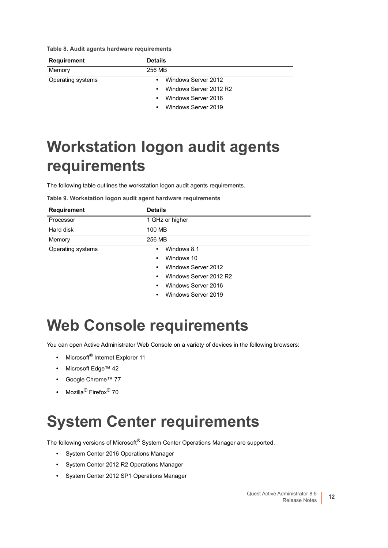**Table 8. Audit agents hardware requirements**

| <b>Requirement</b> | <b>Details</b><br>256 MB            |  |  |
|--------------------|-------------------------------------|--|--|
| Memory             |                                     |  |  |
| Operating systems  | Windows Server 2012<br>$\bullet$    |  |  |
|                    | Windows Server 2012 R2<br>$\bullet$ |  |  |
|                    | Windows Server 2016<br>$\bullet$    |  |  |
|                    | Windows Server 2019<br>$\bullet$    |  |  |

## <span id="page-11-0"></span>**Workstation logon audit agents requirements**

The following table outlines the workstation logon audit agents requirements.

|  | Table 9. Workstation logon audit agent hardware requirements |  |  |  |  |  |  |
|--|--------------------------------------------------------------|--|--|--|--|--|--|
|--|--------------------------------------------------------------|--|--|--|--|--|--|

| <b>Requirement</b> | <b>Details</b>                   |
|--------------------|----------------------------------|
| Processor          | 1 GHz or higher                  |
| Hard disk          | 100 MB                           |
| Memory             | 256 MB                           |
| Operating systems  | Windows 8.1<br>٠                 |
|                    | Windows 10<br>$\bullet$          |
|                    | Windows Server 2012<br>٠         |
|                    | Windows Server 2012 R2<br>٠      |
|                    | Windows Server 2016<br>٠         |
|                    | Windows Server 2019<br>$\bullet$ |

# <span id="page-11-1"></span>**Web Console requirements**

You can open Active Administrator Web Console on a variety of devices in the following browsers:

- **•** Microsoft® Internet Explorer 11
- **•** Microsoft Edge™ 42
- **•** Google Chrome™ 77
- **•** Mozilla® Firefox® 70

## <span id="page-11-2"></span>**System Center requirements**

The following versions of Microsoft<sup>®</sup> System Center Operations Manager are supported.

- **•** System Center 2016 Operations Manager
- **•** System Center 2012 R2 Operations Manager
- **•** System Center 2012 SP1 Operations Manager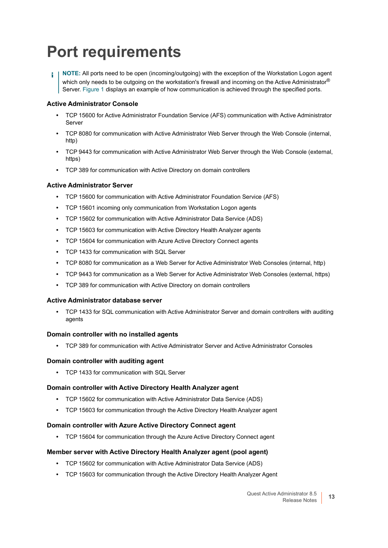## <span id="page-12-0"></span>**Port requirements**

**NOTE:** All ports need to be open (incoming/outgoing) with the exception of the Workstation Logon agent ÷ which only needs to be outgoing on the workstation's firewall and incoming on the Active Administrator® Server. Figure 1 displays an example of how communication is achieved through the specified ports.

### **Active Administrator Console**

- **•** TCP 15600 for Active Administrator Foundation Service (AFS) communication with Active Administrator Server
- **•** TCP 8080 for communication with Active Administrator Web Server through the Web Console (internal, http)
- **•** TCP 9443 for communication with Active Administrator Web Server through the Web Console (external, https)
- **•** TCP 389 for communication with Active Directory on domain controllers

### **Active Administrator Server**

- **•** TCP 15600 for communication with Active Administrator Foundation Service (AFS)
- **•** TCP 15601 incoming only communication from Workstation Logon agents
- **•** TCP 15602 for communication with Active Administrator Data Service (ADS)
- **•** TCP 15603 for communication with Active Directory Health Analyzer agents
- **•** TCP 15604 for communication with Azure Active Directory Connect agents
- **•** TCP 1433 for communication with SQL Server
- **•** TCP 8080 for communication as a Web Server for Active Administrator Web Consoles (internal, http)
- **•** TCP 9443 for communication as a Web Server for Active Administrator Web Consoles (external, https)
- **•** TCP 389 for communication with Active Directory on domain controllers

### **Active Administrator database server**

**•** TCP 1433 for SQL communication with Active Administrator Server and domain controllers with auditing agents

### **Domain controller with no installed agents**

**•** TCP 389 for communication with Active Administrator Server and Active Administrator Consoles

#### **Domain controller with auditing agent**

**•** TCP 1433 for communication with SQL Server

#### **Domain controller with Active Directory Health Analyzer agent**

- **•** TCP 15602 for communication with Active Administrator Data Service (ADS)
- **•** TCP 15603 for communication through the Active Directory Health Analyzer agent

### **Domain controller with Azure Active Directory Connect agent**

**•** TCP 15604 for communication through the Azure Active Directory Connect agent

### **Member server with Active Directory Health Analyzer agent (pool agent)**

- **•** TCP 15602 for communication with Active Administrator Data Service (ADS)
- **•** TCP 15603 for communication through the Active Directory Health Analyzer Agent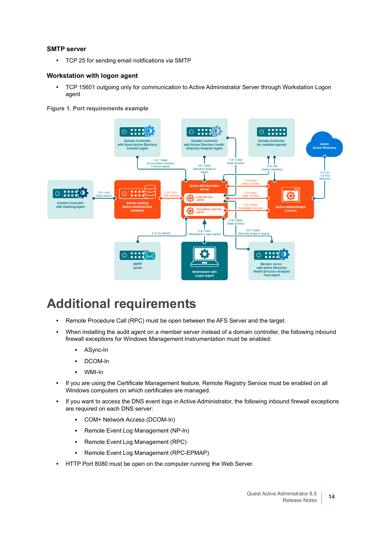### **SMTP server**

**•** TCP 25 for sending email notifications via SMTP

### **Workstation with logon agent**

**•** TCP 15601 outgoing only for communication to Active Administrator Server through Workstation Logon agent





### **Additional requirements**

- **•** Remote Procedure Call (RPC) must be open between the AFS Server and the target.
- **•** When installing the audit agent on a member server instead of a domain controller, the following inbound firewall exceptions for Windows Management Instrumentation must be enabled:
	- **▪** ASync-In
	- **▪** DCOM-In
	- **▪** WMI-In
- **•** If you are using the Certificate Management feature, Remote Registry Service must be enabled on all Windows computers on which certificates are managed.
- **•** If you want to access the DNS event logs in Active Administrator, the following inbound firewall exceptions are required on each DNS server:
	- **▪** COM+ Network Access (DCOM-In)
	- **▪** Remote Event Log Management (NP-In)
	- **▪** Remote Event Log Management (RPC)
	- **▪** Remote Event Log Management (RPC-EPMAP)
- **•** HTTP Port 8080 must be open on the computer running the Web Server.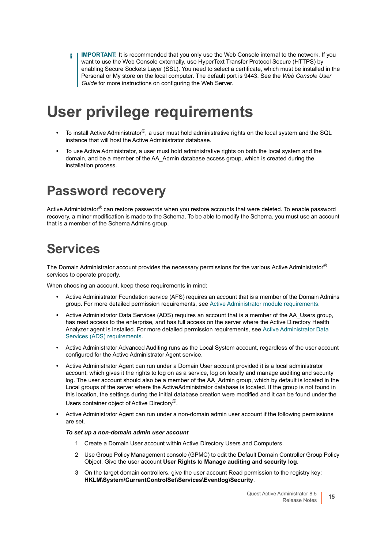**IMPORTANT:** It is recommended that you only use the Web Console internal to the network. If you  $\blacksquare$ want to use the Web Console externally, use HyperText Transfer Protocol Secure (HTTPS) by enabling Secure Sockets Layer (SSL). You need to select a certificate, which must be installed in the Personal or My store on the local computer. The default port is 9443. See the *Web Console User Guide* for more instructions on configuring the Web Server.

## <span id="page-14-0"></span>**User privilege requirements**

- **•** To install Active Administrator®, a user must hold administrative rights on the local system and the SQL instance that will host the Active Administrator database.
- **•** To use Active Administrator, a user must hold administrative rights on both the local system and the domain, and be a member of the AA\_Admin database access group, which is created during the installation process.

### **Password recovery**

Active Administrator<sup>®</sup> can restore passwords when you restore accounts that were deleted. To enable password recovery, a minor modification is made to the Schema. To be able to modify the Schema, you must use an account that is a member of the Schema Admins group.

### **Services**

The Domain Administrator account provides the necessary permissions for the various Active Administrator® services to operate properly.

When choosing an account, keep these requirements in mind:

- **•** Active Administrator Foundation service (AFS) requires an account that is a member of the Domain Admins group. For more detailed permission requirements, see [Active Administrator module requirements](#page-15-2).
- **•** Active Administrator Data Services (ADS) requires an account that is a member of the AA\_Users group, has read access to the enterprise, and has full access on the server where the Active Directory Health Analyzer agent is installed. For more detailed permission requirements, see Active Administrator Data Services (ADS) requirements.
- **•** Active Administrator Advanced Auditing runs as the Local System account, regardless of the user account configured for the Active Administrator Agent service.
- **•** Active Administrator Agent can run under a Domain User account provided it is a local administrator account, which gives it the rights to log on as a service, log on locally and manage auditing and security log. The user account should also be a member of the AA\_Admin group, which by default is located in the Local groups of the server where the ActiveAdministrator database is located. If the group is not found in this location, the settings during the initial database creation were modified and it can be found under the Users container object of Active Directory®.
- **•** Active Administrator Agent can run under a non-domain admin user account if the following permissions are set.

### *To set up a non-domain admin user account*

- 1 Create a Domain User account within Active Directory Users and Computers.
- 2 Use Group Policy Management console (GPMC) to edit the Default Domain Controller Group Policy Object. Give the user account **User Rights** to **Manage auditing and security log**.
- 3 On the target domain controllers, give the user account Read permission to the registry key: **HKLM\System\CurrentControlSet\Services\Eventlog\Security**.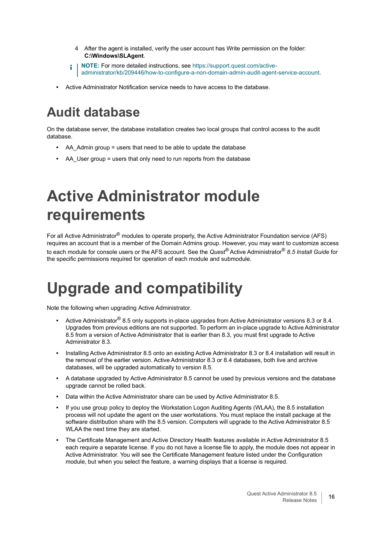- 4 After the agent is installed, verify the user account has Write permission on the folder: **C:\Windows\SLAgent**.
- **NOTE:** [For more detailed instructions, see h](https://support.quest.com/active-administrator/kb/209446/how-to-configure-a-non-domain-admin-audit-agent-service-account)ttps://support.quest.com/activei l administrator/kb/209446/how-to-configure-a-non-domain-admin-audit-agent-service-account.
- **•** Active Administrator Notification service needs to have access to the database.

## **Audit database**

On the database server, the database installation creates two local groups that control access to the audit database.

- AA Admin group = users that need to be able to update the database
- AA User group = users that only need to run reports from the database

## <span id="page-15-2"></span><span id="page-15-0"></span>**Active Administrator module requirements**

For all Active Administrator<sup>®</sup> modules to operate properly, the Active Administrator Foundation service (AFS) requires an account that is a member of the Domain Admins group. However, you may want to customize access to each module for console users or the AFS account. See the *Quest®* Active Administrator® *8.5 Install Guide* for the specific permissions required for operation of each module and submodule.

## <span id="page-15-1"></span>**Upgrade and compatibility**

Note the following when upgrading Active Administrator.

- **•** Active Administrator® 8.5 only supports in-place upgrades from Active Administrator versions 8.3 or 8.4. Upgrades from previous editions are not supported. To perform an in-place upgrade to Active Administrator 8.5 from a version of Active Administrator that is earlier than 8.3, you must first upgrade to Active Administrator 8.3.
- **•** Installing Active Administrator 8.5 onto an existing Active Administrator 8.3 or 8.4 installation will result in the removal of the earlier version. Active Administrator 8.3 or 8.4 databases, both live and archive databases, will be upgraded automatically to version 8.5.
- **•** A database upgraded by Active Administrator 8.5 cannot be used by previous versions and the database upgrade cannot be rolled back.
- **•** Data within the Active Administrator share can be used by Active Administrator 8.5.
- **•** If you use group policy to deploy the Workstation Logon Auditing Agents (WLAA), the 8.5 installation process will not update the agent on the user workstations. You must replace the install package at the software distribution share with the 8.5 version. Computers will upgrade to the Active Administrator 8.5 WLAA the next time they are started.
- **•** The Certificate Management and Active Directory Health features available in Active Administrator 8.5 each require a separate license. If you do not have a license file to apply, the module does not appear in Active Administrator. You will see the Certificate Management feature listed under the Configuration module, but when you select the feature, a warning displays that a license is required.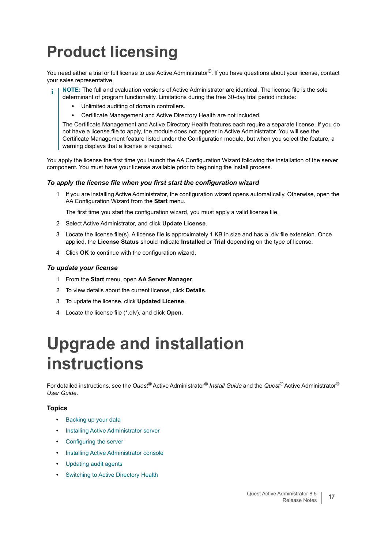## <span id="page-16-0"></span>**Product licensing**

You need either a trial or full license to use Active Administrator<sup>®</sup>. If you have questions about your license, contact your sales representative.

- **NOTE:** The full and evaluation versions of Active Administrator are identical. The license file is the sole determinant of program functionality. Limitations during the free 30-day trial period include:
	- **•** Unlimited auditing of domain controllers.
		- **•** Certificate Management and Active Directory Health are not included.

The Certificate Management and Active Directory Health features each require a separate license. If you do not have a license file to apply, the module does not appear in Active Administrator. You will see the Certificate Management feature listed under the Configuration module, but when you select the feature, a warning displays that a license is required.

You apply the license the first time you launch the AA Configuration Wizard following the installation of the server component. You must have your license available prior to beginning the install process.

#### *To apply the license file when you first start the configuration wizard*

1 If you are installing Active Administrator, the configuration wizard opens automatically. Otherwise, open the AA Configuration Wizard from the **Start** menu.

The first time you start the configuration wizard, you must apply a valid license file.

- 2 Select Active Administrator, and click **Update License**.
- 3 Locate the license file(s). A license file is approximately 1 KB in size and has a .dlv file extension. Once applied, the **License Status** should indicate **Installed** or **Trial** depending on the type of license.
- 4 Click **OK** to continue with the configuration wizard.

#### *To update your license*

- 1 From the **Start** menu, open **AA Server Manager**.
- 2 To view details about the current license, click **Details**.
- 3 To update the license, click **Updated License**.
- 4 Locate the license file (\*.dlv), and click **Open**.

## <span id="page-16-1"></span>**Upgrade and installation instructions**

For detailed instructions, see the *Quest®* Active Administrator® *Install Guide* and the *Quest®* Active Administrator® *User Guide*.

### **Topics**

- **•** [Backing up your data](#page-17-1)
- **•** [Installing Active Administrator server](#page-17-0)
- **•** [Configuring the server](#page-18-0)
- **•** [Installing Active Administrator console](#page-19-0)
- **•** [Updating audit agents](#page-19-1)
- **•** [Switching to Active Directory Health](#page-20-1)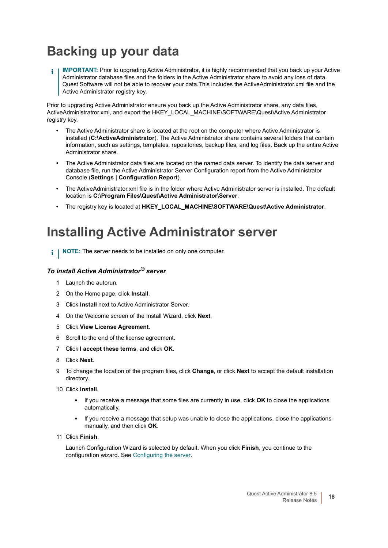## <span id="page-17-1"></span>**Backing up your data**

**IMPORTANT:** Prior to upgrading Active Administrator, it is highly recommended that you back up your Active ÷ Administrator database files and the folders in the Active Administrator share to avoid any loss of data. Quest Software will not be able to recover your data.This includes the ActiveAdministrator.xml file and the Active Administrator registry key.

Prior to upgrading Active Administrator ensure you back up the Active Administrator share, any data files, ActiveAdministratror.xml, and export the HKEY\_LOCAL\_MACHINE\SOFTWARE\Quest\Active Administrator registry key.

- **•** The Active Administrator share is located at the root on the computer where Active Administrator is installed (**C:\ActiveAdministrator**). The Active Administrator share contains several folders that contain information, such as settings, templates, repositories, backup files, and log files. Back up the entire Active Administrator share.
- **•** The Active Administrator data files are located on the named data server. To identify the data server and database file, run the Active Administrator Server Configuration report from the Active Administrator Console (**Settings | Configuration Report**).
- **•** The ActiveAdministrator.xml file is in the folder where Active Administrator server is installed. The default location is **C:\Program Files\Quest\Active Administrator\Server**.
- **•** The registry key is located at **HKEY\_LOCAL\_MACHINE\SOFTWARE\Quest\Active Administrator**.

### <span id="page-17-0"></span>**Installing Active Administrator server**

**i** | NOTE: The server needs to be installed on only one computer.

### *To install Active Administrator® server*

- 1 Launch the autorun.
- 2 On the Home page, click **Install**.
- 3 Click **Install** next to Active Administrator Server.
- 4 On the Welcome screen of the Install Wizard, click **Next**.
- 5 Click **View License Agreement**.
- 6 Scroll to the end of the license agreement.
- 7 Click **I accept these terms**, and click **OK**.
- 8 Click **Next**.
- 9 To change the location of the program files, click **Change**, or click **Next** to accept the default installation directory.
- 10 Click **Install**.
	- **▪** If you receive a message that some files are currently in use, click **OK** to close the applications automatically.
	- **▪** If you receive a message that setup was unable to close the applications, close the applications manually, and then click **OK**.
- 11 Click **Finish**.

Launch Configuration Wizard is selected by default. When you click **Finish**, you continue to the configuration wizard. See [Configuring the server.](#page-18-0)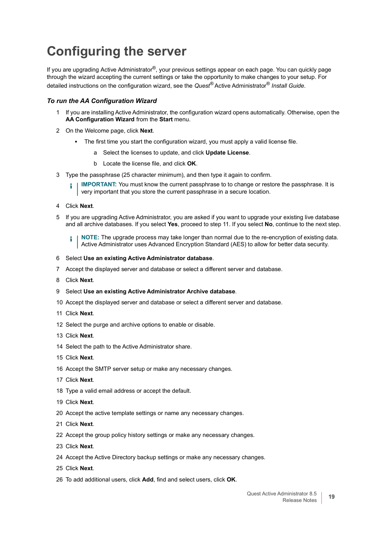### <span id="page-18-0"></span>**Configuring the server**

If you are upgrading Active Administrator<sup>®</sup>, your previous settings appear on each page. You can quickly page through the wizard accepting the current settings or take the opportunity to make changes to your setup. For detailed instructions on the configuration wizard, see the *Quest®* Active Administrator® *Install Guide*.

### *To run the AA Configuration Wizard*

- If you are installing Active Administrator, the configuration wizard opens automatically. Otherwise, open the **AA Configuration Wizard** from the **Start** menu.
- On the Welcome page, click **Next**.
	- **▪** The first time you start the configuration wizard, you must apply a valid license file.
		- a Select the licenses to update, and click **Update License**.
		- b Locate the license file, and click **OK**.
- Type the passphrase (25 character minimum), and then type it again to confirm.

**I IMPORTANT:** You must know the current passphrase to to change or restore the passphrase. It is very important that you store the current passphrase in a secure location.

- Click **Next**.
- If you are upgrading Active Administrator, you are asked if you want to upgrade your existing live database and all archive databases. If you select **Yes**, proceed to step 11. If you select **No**, continue to the next step.

**NOTE:** The upgrade process may take longer than normal due to the re-encryption of existing data. f. Active Administrator uses Advanced Encryption Standard (AES) to allow for better data security.

- Select **Use an existing Active Administrator database**.
- Accept the displayed server and database or select a different server and database.
- Click **Next**.
- Select **Use an existing Active Administrator Archive database**.
- Accept the displayed server and database or select a different server and database.
- Click **Next**.
- Select the purge and archive options to enable or disable.
- Click **Next**.
- Select the path to the Active Administrator share.
- Click **Next**.
- Accept the SMTP server setup or make any necessary changes.
- Click **Next**.
- Type a valid email address or accept the default.
- Click **Next**.
- Accept the active template settings or name any necessary changes.
- Click **Next**.
- Accept the group policy history settings or make any necessary changes.
- Click **Next**.
- Accept the Active Directory backup settings or make any necessary changes.
- Click **Next**.
- To add additional users, click **Add**, find and select users, click **OK**.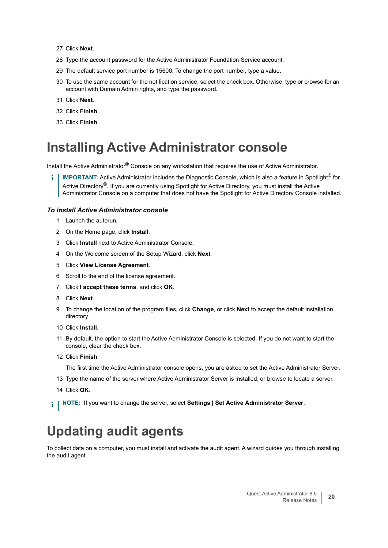- 27 Click **Next**.
- 28 Type the account password for the Active Administrator Foundation Service account.
- 29 The default service port number is 15600. To change the port number, type a value.
- 30 To use the same account for the notification service, select the check box. Otherwise, type or browse for an account with Domain Admin rights, and type the password.
- 31 Click **Next**.
- 32 Click **Finish**.
- 33 Click **Finish**.

### <span id="page-19-0"></span>**Installing Active Administrator console**

Install the Active Administrator® Console on any workstation that requires the use of Active Administrator.

**IMPORTANT:** Active Administrator includes the Diagnostic Console, which is also a feature in Spotlight® for Active Directory®. If you are currently using Spotlight for Active Directory, you must install the Active Administrator Console on a computer that does not have the Spotlight for Active Directory Console installed.

#### *To install Active Administrator console*

- 1 Launch the autorun.
- 2 On the Home page, click **Install**.
- 3 Click **Install** next to Active Administrator Console.
- 4 On the Welcome screen of the Setup Wizard, click **Next**.
- 5 Click **View License Agreement**.
- 6 Scroll to the end of the license agreement.
- 7 Click **I accept these terms**, and click **OK**.
- 8 Click **Next**.
- 9 To change the location of the program files, click **Change**, or click **Next** to accept the default installation directory
- 10 Click **Install**.
- 11 By default, the option to start the Active Administrator Console is selected. If you do not want to start the console, clear the check box.
- 12 Click **Finish**.

The first time the Active Administrator console opens, you are asked to set the Active Administrator Server.

- 13 Type the name of the server where Active Administrator Server is installed, or browse to locate a server.
- 14 Click **OK**.
- **i** | NOTE: If you want to change the server, select Settings | Set Active Administrator Server.

### <span id="page-19-1"></span>**Updating audit agents**

To collect data on a computer, you must install and activate the audit agent. A wizard guides you through installing the audit agent.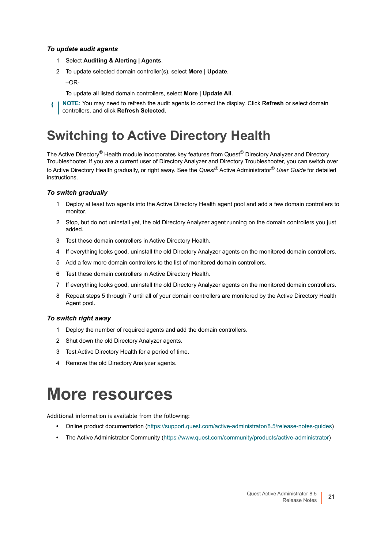### *To update audit agents*

- 1 Select **Auditing & Alerting | Agents**.
- 2 To update selected domain controller(s), select **More | Update**.
	- –OR-
	- To update all listed domain controllers, select **More | Update All**.
- **NOTE:** You may need to refresh the audit agents to correct the display. Click **Refresh** or select domain ÷ controllers, and click **Refresh Selected**.

### <span id="page-20-1"></span>**Switching to Active Directory Health**

The Active Directory<sup>®</sup> Health module incorporates key features from Quest<sup>®</sup> Directory Analyzer and Directory Troubleshooter. If you are a current user of Directory Analyzer and Directory Troubleshooter, you can switch over to Active Directory Health gradually, or right away. See the *Quest®* Active Administrator® *User Guide* for detailed instructions.

### *To switch gradually*

- 1 Deploy at least two agents into the Active Directory Health agent pool and add a few domain controllers to monitor.
- 2 Stop, but do not uninstall yet, the old Directory Analyzer agent running on the domain controllers you just added.
- 3 Test these domain controllers in Active Directory Health.
- 4 If everything looks good, uninstall the old Directory Analyzer agents on the monitored domain controllers.
- 5 Add a few more domain controllers to the list of monitored domain controllers.
- 6 Test these domain controllers in Active Directory Health.
- 7 If everything looks good, uninstall the old Directory Analyzer agents on the monitored domain controllers.
- 8 Repeat steps 5 through 7 until all of your domain controllers are monitored by the Active Directory Health Agent pool.

### *To switch right away*

- 1 Deploy the number of required agents and add the domain controllers.
- 2 Shut down the old Directory Analyzer agents.
- 3 Test Active Directory Health for a period of time.
- 4 Remove the old Directory Analyzer agents.

## <span id="page-20-0"></span>**More resources**

Additional information is available from the following:

- **•** Online product documentation [\(https://support.quest.com/active-administrator/8.5/release-notes-guides](https://support.quest.com/active-administrator/8.1/release-notes-guides))
- **•** The Active Administrator Community [\(https://www.quest.com/community/products/active-administrator\)](https://www.quest.com/community/products/active-administrator)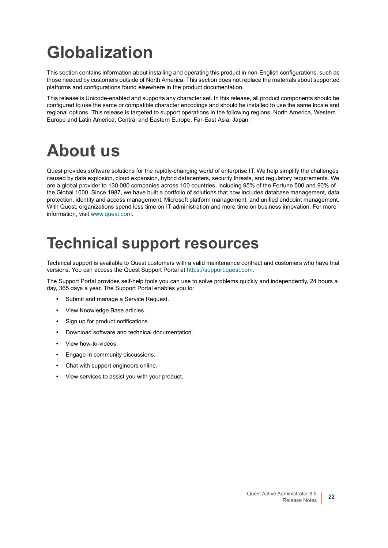# <span id="page-21-0"></span>**Globalization**

This section contains information about installing and operating this product in non-English configurations, such as those needed by customers outside of North America. This section does not replace the materials about supported platforms and configurations found elsewhere in the product documentation.

This release is Unicode-enabled and supports any character set. In this release, all product components should be configured to use the same or compatible character encodings and should be installed to use the same locale and regional options. This release is targeted to support operations in the following regions: North America, Western Europe and Latin America, Central and Eastern Europe, Far-East Asia, Japan.

# <span id="page-21-1"></span>**About us**

Quest provides software solutions for the rapidly-changing world of enterprise IT. We help simplify the challenges caused by data explosion, cloud expansion, hybrid datacenters, security threats, and regulatory requirements. We are a global provider to 130,000 companies across 100 countries, including 95% of the Fortune 500 and 90% of the Global 1000. Since 1987, we have built a portfolio of solutions that now includes database management, data protection, identity and access management, Microsoft platform management, and unified endpoint management. With Quest, organizations spend less time on IT administration and more time on business innovation. For more information, visit [www.quest.com](https://www.quest.com/company/contact-us.aspx).

## **Technical support resources**

Technical support is available to Quest customers with a valid maintenance contract and customers who have trial versions. You can access the Quest Support Portal at [https://support.quest.com.](https://support.quest.com)

The Support Portal provides self-help tools you can use to solve problems quickly and independently, 24 hours a day, 365 days a year. The Support Portal enables you to:

- **•** Submit and manage a Service Request.
- **•** View Knowledge Base articles.
- **•** Sign up for product notifications.
- **•** Download software and technical documentation.
- **•** View how-to-videos.
- **•** Engage in community discussions.
- **•** Chat with support engineers online.
- **•** View services to assist you with your product.